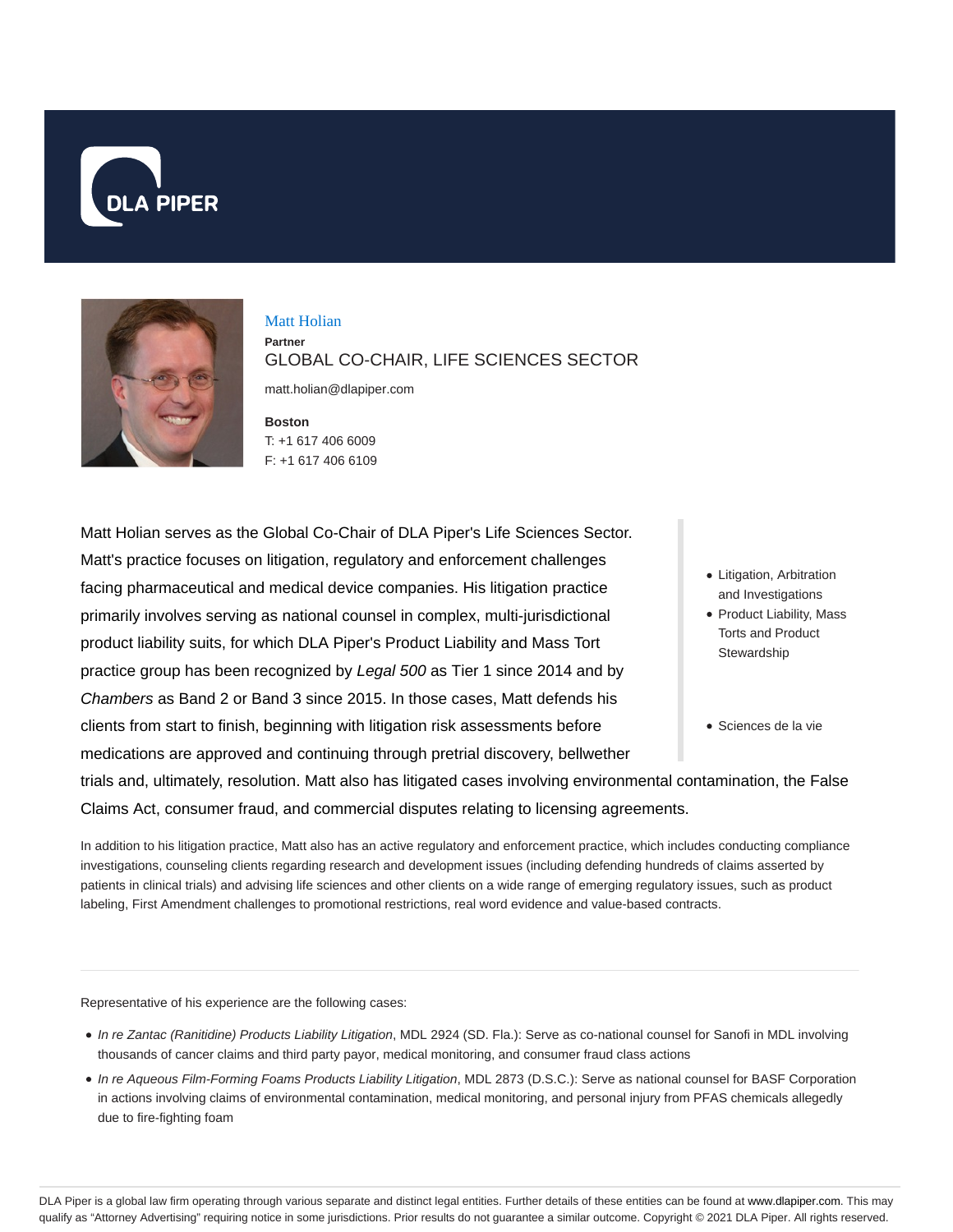



Matt Holian **Partner** GLOBAL CO-CHAIR, LIFE SCIENCES SECTOR

matt.holian@dlapiper.com

**Boston** T: +1 617 406 6009 F: +1 617 406 6109

Matt Holian serves as the Global Co-Chair of DLA Piper's Life Sciences Sector. Matt's practice focuses on litigation, regulatory and enforcement challenges facing pharmaceutical and medical device companies. His litigation practice primarily involves serving as national counsel in complex, multi-jurisdictional product liability suits, for which DLA Piper's Product Liability and Mass Tort practice group has been recognized by Legal 500 as Tier 1 since 2014 and by Chambers as Band 2 or Band 3 since 2015. In those cases, Matt defends his clients from start to finish, beginning with litigation risk assessments before medications are approved and continuing through pretrial discovery, bellwether

- Litigation, Arbitration and Investigations
- Product Liability, Mass Torts and Product **Stewardship**
- Sciences de la vie

trials and, ultimately, resolution. Matt also has litigated cases involving environmental contamination, the False Claims Act, consumer fraud, and commercial disputes relating to licensing agreements.

In addition to his litigation practice, Matt also has an active regulatory and enforcement practice, which includes conducting compliance investigations, counseling clients regarding research and development issues (including defending hundreds of claims asserted by patients in clinical trials) and advising life sciences and other clients on a wide range of emerging regulatory issues, such as product labeling, First Amendment challenges to promotional restrictions, real word evidence and value-based contracts.

Representative of his experience are the following cases:

- $\bullet$  In re Zantac (Ranitidine) Products Liability Litigation, MDL 2924 (SD. Fla.): Serve as co-national counsel for Sanofi in MDL involving thousands of cancer claims and third party payor, medical monitoring, and consumer fraud class actions
- In re Aqueous Film-Forming Foams Products Liability Litigation, MDL 2873 (D.S.C.): Serve as national counsel for BASF Corporation in actions involving claims of environmental contamination, medical monitoring, and personal injury from PFAS chemicals allegedly due to fire-fighting foam

DLA Piper is a global law firm operating through various separate and distinct legal entities. Further details of these entities can be found at www.dlapiper.com. This may qualify as "Attorney Advertising" requiring notice in some jurisdictions. Prior results do not guarantee a similar outcome. Copyright © 2021 DLA Piper. All rights reserved.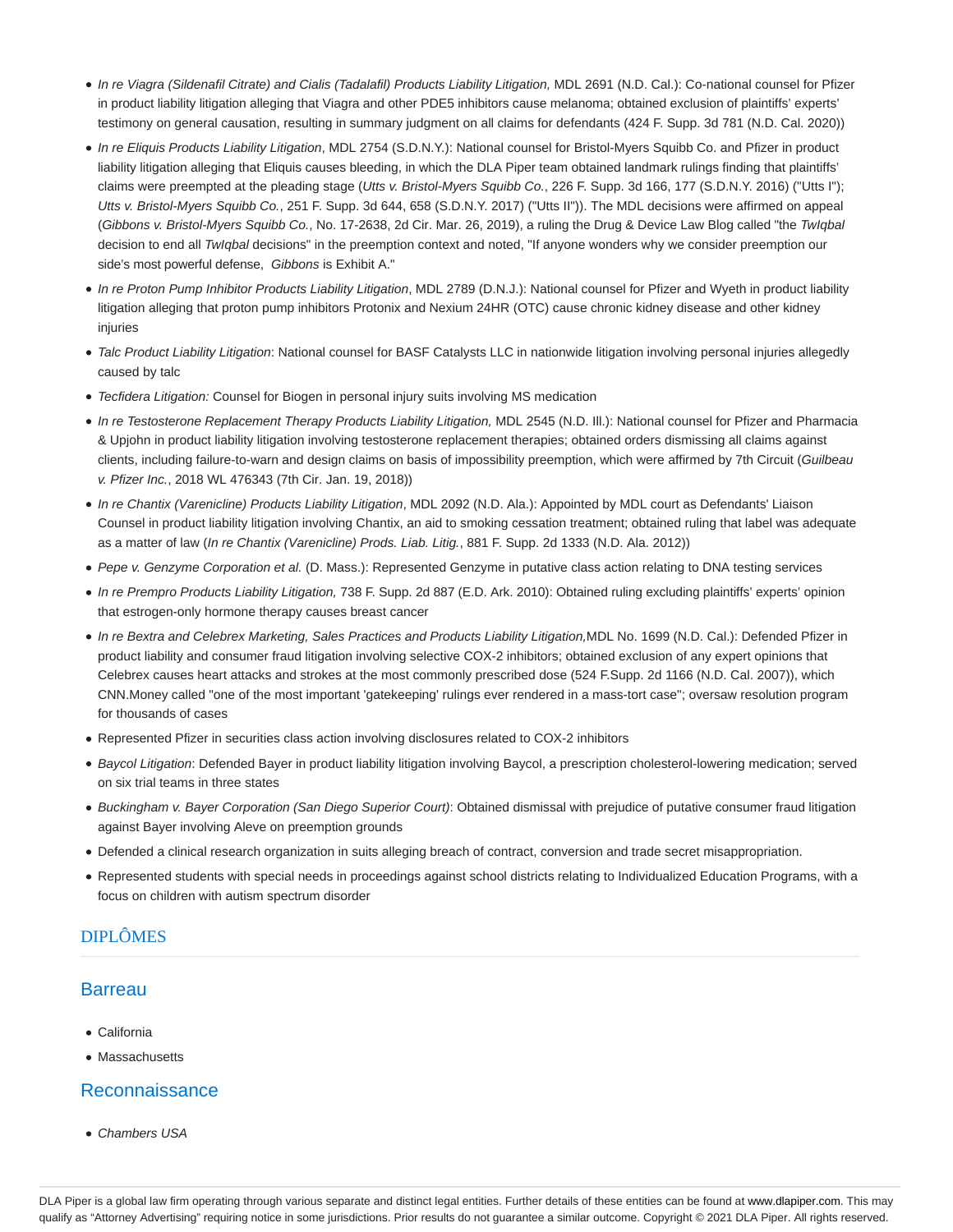- · In re Viagra (Sildenafil Citrate) and Cialis (Tadalafil) Products Liability Litigation, MDL 2691 (N.D. Cal.): Co-national counsel for Pfizer in product liability litigation alleging that Viagra and other PDE5 inhibitors cause melanoma; obtained exclusion of plaintiffs' experts' testimony on general causation, resulting in summary judgment on all claims for defendants (424 F. Supp. 3d 781 (N.D. Cal. 2020))
- In re Eliquis Products Liability Litigation, MDL 2754 (S.D.N.Y.): National counsel for Bristol-Myers Squibb Co. and Pfizer in product liability litigation alleging that Eliquis causes bleeding, in which the DLA Piper team obtained landmark rulings finding that plaintiffs' claims were preempted at the pleading stage (Utts v. Bristol-Myers Squibb Co., 226 F. Supp. 3d 166, 177 (S.D.N.Y. 2016) ("Utts I"); Utts v. Bristol-Myers Squibb Co., 251 F. Supp. 3d 644, 658 (S.D.N.Y. 2017) ("Utts II")). The MDL decisions were affirmed on appeal (Gibbons v. Bristol-Myers Squibb Co., No. 17-2638, 2d Cir. Mar. 26, 2019), a ruling the Drug & Device Law Blog called "the TwIqbal decision to end all TwIqbal decisions" in the preemption context and noted, "If anyone wonders why we consider preemption our side's most powerful defense, Gibbons is Exhibit A."
- In re Proton Pump Inhibitor Products Liability Litigation, MDL 2789 (D.N.J.): National counsel for Pfizer and Wyeth in product liability litigation alleging that proton pump inhibitors Protonix and Nexium 24HR (OTC) cause chronic kidney disease and other kidney injuries
- Talc Product Liability Litigation: National counsel for BASF Catalysts LLC in nationwide litigation involving personal injuries allegedly caused by talc
- Tecfidera Litigation: Counsel for Biogen in personal injury suits involving MS medication
- In re Testosterone Replacement Therapy Products Liability Litigation, MDL 2545 (N.D. Ill.): National counsel for Pfizer and Pharmacia & Upjohn in product liability litigation involving testosterone replacement therapies; obtained orders dismissing all claims against clients, including failure-to-warn and design claims on basis of impossibility preemption, which were affirmed by 7th Circuit (Guilbeau v. Pfizer Inc., 2018 WL 476343 (7th Cir. Jan. 19, 2018))
- In re Chantix (Varenicline) Products Liability Litigation, MDL 2092 (N.D. Ala.): Appointed by MDL court as Defendants' Liaison Counsel in product liability litigation involving Chantix, an aid to smoking cessation treatment; obtained ruling that label was adequate as a matter of law (In re Chantix (Varenicline) Prods. Liab. Litig., 881 F. Supp. 2d 1333 (N.D. Ala. 2012))
- Pepe v. Genzyme Corporation et al. (D. Mass.): Represented Genzyme in putative class action relating to DNA testing services
- In re Prempro Products Liability Litigation, 738 F. Supp. 2d 887 (E.D. Ark. 2010): Obtained ruling excluding plaintiffs' experts' opinion that estrogen-only hormone therapy causes breast cancer
- In re Bextra and Celebrex Marketing, Sales Practices and Products Liability Litigation,MDL No. 1699 (N.D. Cal.): Defended Pfizer in product liability and consumer fraud litigation involving selective COX-2 inhibitors; obtained exclusion of any expert opinions that Celebrex causes heart attacks and strokes at the most commonly prescribed dose (524 F.Supp. 2d 1166 (N.D. Cal. 2007)), which CNN.Money called "one of the most important 'gatekeeping' rulings ever rendered in a mass-tort case"; oversaw resolution program for thousands of cases
- Represented Pfizer in securities class action involving disclosures related to COX-2 inhibitors
- Baycol Litigation: Defended Bayer in product liability litigation involving Baycol, a prescription cholesterol-lowering medication; served on six trial teams in three states
- Buckingham v. Bayer Corporation (San Diego Superior Court): Obtained dismissal with prejudice of putative consumer fraud litigation against Bayer involving Aleve on preemption grounds
- Defended a clinical research organization in suits alleging breach of contract, conversion and trade secret misappropriation.
- Represented students with special needs in proceedings against school districts relating to Individualized Education Programs, with a focus on children with autism spectrum disorder

# DIPLÔMES

### **Barreau**

- California
- Massachusetts

# Reconnaissance

• Chambers USA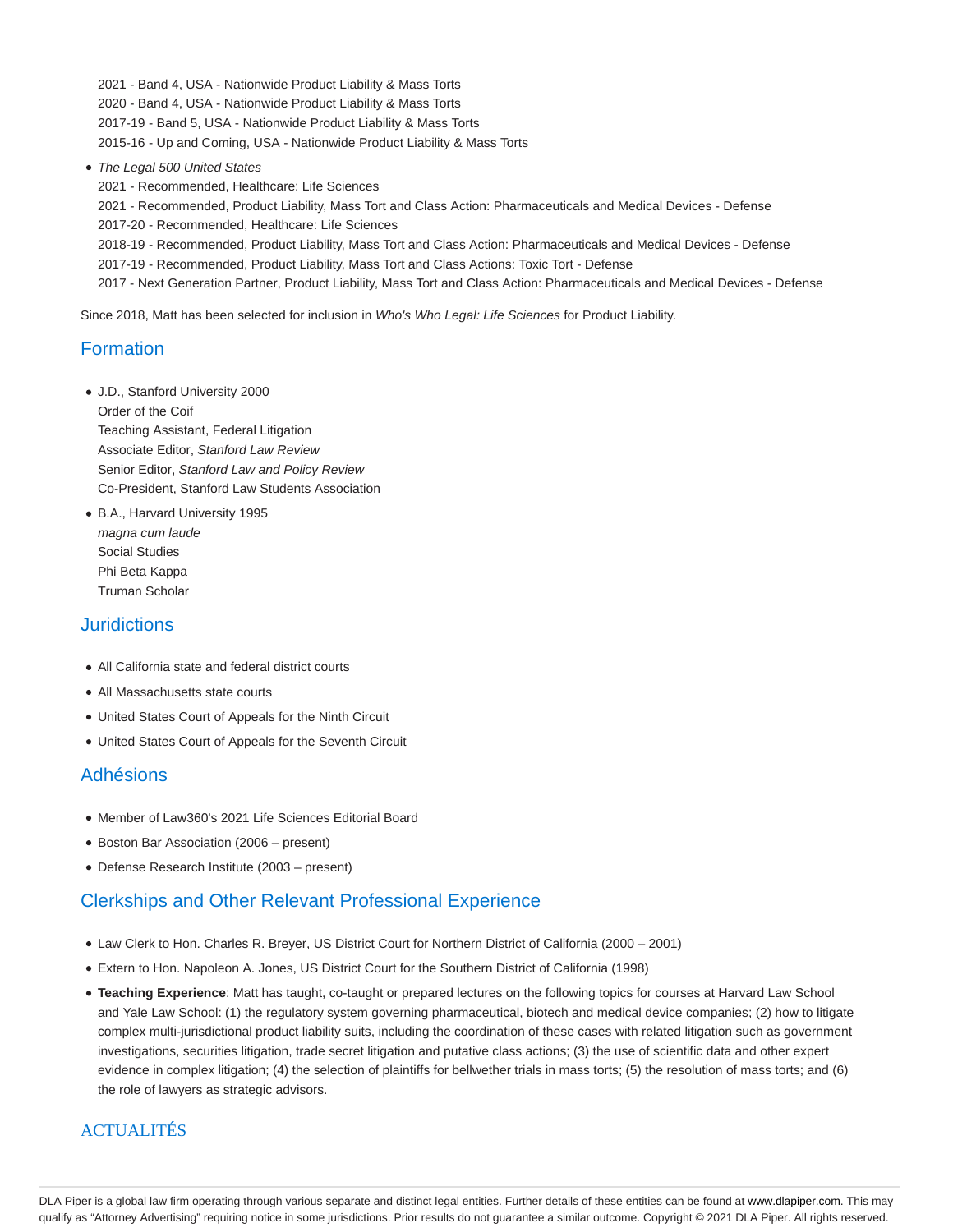2021 - Band 4, USA - Nationwide Product Liability & Mass Torts 2020 - Band 4, USA - Nationwide Product Liability & Mass Torts 2017-19 - Band 5, USA - Nationwide Product Liability & Mass Torts 2015-16 - Up and Coming, USA - Nationwide Product Liability & Mass Torts

• The Legal 500 United States

2021 - Recommended, Healthcare: Life Sciences 2021 - Recommended, Product Liability, Mass Tort and Class Action: Pharmaceuticals and Medical Devices - Defense 2017-20 - Recommended, Healthcare: Life Sciences 2018-19 - Recommended, Product Liability, Mass Tort and Class Action: Pharmaceuticals and Medical Devices - Defense 2017-19 - Recommended, Product Liability, Mass Tort and Class Actions: Toxic Tort - Defense 2017 - Next Generation Partner, Product Liability, Mass Tort and Class Action: Pharmaceuticals and Medical Devices - Defense

Since 2018, Matt has been selected for inclusion in Who's Who Legal: Life Sciences for Product Liability.

### Formation

- J.D., Stanford University 2000 Order of the Coif Teaching Assistant, Federal Litigation Associate Editor, Stanford Law Review Senior Editor, Stanford Law and Policy Review Co-President, Stanford Law Students Association
- B.A., Harvard University 1995 magna cum laude Social Studies Phi Beta Kappa Truman Scholar

### **Juridictions**

- All California state and federal district courts
- All Massachusetts state courts
- United States Court of Appeals for the Ninth Circuit
- United States Court of Appeals for the Seventh Circuit

#### Adhésions

- Member of Law360's 2021 Life Sciences Editorial Board
- Boston Bar Association (2006 present)
- Defense Research Institute (2003 present)

# Clerkships and Other Relevant Professional Experience

- Law Clerk to Hon. Charles R. Breyer, US District Court for Northern District of California (2000 2001)
- Extern to Hon. Napoleon A. Jones, US District Court for the Southern District of California (1998)
- **Teaching Experience**: Matt has taught, co-taught or prepared lectures on the following topics for courses at Harvard Law School and Yale Law School: (1) the regulatory system governing pharmaceutical, biotech and medical device companies; (2) how to litigate complex multi-jurisdictional product liability suits, including the coordination of these cases with related litigation such as government investigations, securities litigation, trade secret litigation and putative class actions; (3) the use of scientific data and other expert evidence in complex litigation; (4) the selection of plaintiffs for bellwether trials in mass torts; (5) the resolution of mass torts; and (6) the role of lawyers as strategic advisors.

### **ACTUALITÉS**

DLA Piper is a global law firm operating through various separate and distinct legal entities. Further details of these entities can be found at www.dlapiper.com. This may qualify as "Attorney Advertising" requiring notice in some jurisdictions. Prior results do not guarantee a similar outcome. Copyright @ 2021 DLA Piper. All rights reserved.